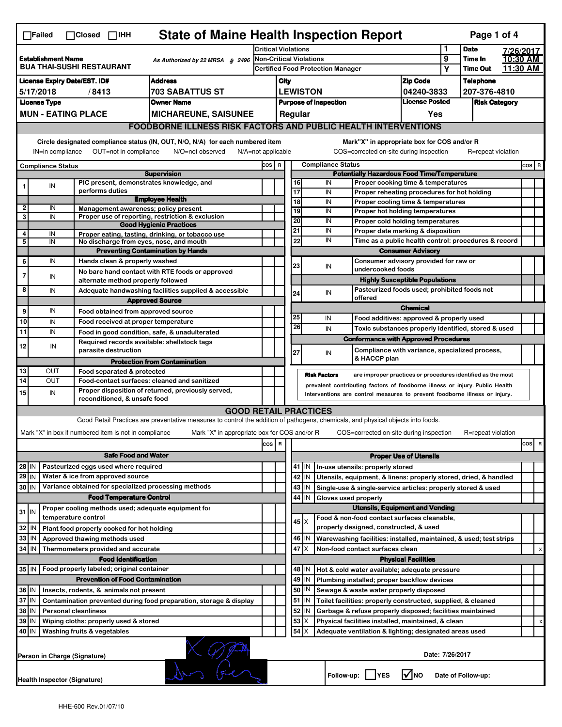|                                                                                                                                                                                                                                                                                           | <b>State of Maine Health Inspection Report</b><br>Page 1 of 4<br>$\Box$ Failed<br>$\Box$ Closed $\Box$ IHH |  |                                                                     |                                                                                                                                   |                                                       |                                                                              |                                    |             |                                                                            |                                                                                           |                  |                      |                    |           |         |   |
|-------------------------------------------------------------------------------------------------------------------------------------------------------------------------------------------------------------------------------------------------------------------------------------------|------------------------------------------------------------------------------------------------------------|--|---------------------------------------------------------------------|-----------------------------------------------------------------------------------------------------------------------------------|-------------------------------------------------------|------------------------------------------------------------------------------|------------------------------------|-------------|----------------------------------------------------------------------------|-------------------------------------------------------------------------------------------|------------------|----------------------|--------------------|-----------|---------|---|
|                                                                                                                                                                                                                                                                                           |                                                                                                            |  |                                                                     |                                                                                                                                   |                                                       | <b>Critical Violations</b>                                                   |                                    |             |                                                                            |                                                                                           |                  | <b>Date</b>          |                    | 7/26/2017 |         |   |
| <b>Establishment Name</b><br>As Authorized by 22 MRSA § 2496<br><b>BUA THAI-SUSHI RESTAURANT</b>                                                                                                                                                                                          |                                                                                                            |  |                                                                     |                                                                                                                                   |                                                       | Non-Critical Violations                                                      |                                    |             |                                                                            |                                                                                           | 9                | Time In              |                    | 10:30 AM  |         |   |
|                                                                                                                                                                                                                                                                                           |                                                                                                            |  |                                                                     |                                                                                                                                   |                                                       | <b>Certified Food Protection Manager</b>                                     |                                    |             |                                                                            | Υ                                                                                         |                  | <b>Time Out</b>      | 11:30 AM           |           |         |   |
| <b>Address</b><br><b>License Expiry Date/EST. ID#</b>                                                                                                                                                                                                                                     |                                                                                                            |  |                                                                     |                                                                                                                                   |                                                       | <b>Zip Code</b><br>City                                                      |                                    |             |                                                                            |                                                                                           | <b>Telephone</b> |                      |                    |           |         |   |
| <b>703 SABATTUS ST</b><br>5/17/2018<br>/8413                                                                                                                                                                                                                                              |                                                                                                            |  |                                                                     |                                                                                                                                   |                                                       | <b>LEWISTON</b><br>04240-3833                                                |                                    |             |                                                                            |                                                                                           |                  | 207-376-4810         |                    |           |         |   |
| <b>License Type</b><br><b>Owner Name</b>                                                                                                                                                                                                                                                  |                                                                                                            |  |                                                                     |                                                                                                                                   | <b>License Posted</b><br><b>Purpose of Inspection</b> |                                                                              |                                    |             |                                                                            |                                                                                           |                  | <b>Risk Category</b> |                    |           |         |   |
|                                                                                                                                                                                                                                                                                           | <b>MUN - EATING PLACE</b><br><b>MICHAREUNE, SAISUNEE</b>                                                   |  |                                                                     |                                                                                                                                   |                                                       |                                                                              |                                    | Regular     |                                                                            |                                                                                           | Yes              |                      |                    |           |         |   |
|                                                                                                                                                                                                                                                                                           |                                                                                                            |  |                                                                     | <b>FOODBORNE ILLNESS RISK FACTORS AND PUBLIC HEALTH INTERVENTIONS</b>                                                             |                                                       |                                                                              |                                    |             |                                                                            |                                                                                           |                  |                      |                    |           |         |   |
| Circle designated compliance status (IN, OUT, N/O, N/A) for each numbered item<br>Mark"X" in appropriate box for COS and/or R<br>OUT=not in compliance<br>COS=corrected on-site during inspection<br>IN=in compliance<br>N/O=not observed<br>$N/A = not$ applicable<br>R=repeat violation |                                                                                                            |  |                                                                     |                                                                                                                                   |                                                       |                                                                              |                                    |             |                                                                            |                                                                                           |                  |                      |                    |           |         |   |
|                                                                                                                                                                                                                                                                                           | <b>Compliance Status</b>                                                                                   |  |                                                                     |                                                                                                                                   |                                                       |                                                                              |                                    |             | <b>Compliance Status</b>                                                   |                                                                                           |                  |                      |                    |           | $cos$ R |   |
| <b>Supervision</b>                                                                                                                                                                                                                                                                        |                                                                                                            |  |                                                                     |                                                                                                                                   |                                                       | COS R<br><b>Potentially Hazardous Food Time/Temperature</b>                  |                                    |             |                                                                            |                                                                                           |                  |                      |                    |           |         |   |
|                                                                                                                                                                                                                                                                                           | IN                                                                                                         |  | PIC present, demonstrates knowledge, and                            |                                                                                                                                   |                                                       |                                                                              | 16                                 |             | IN                                                                         | Proper cooking time & temperatures                                                        |                  |                      |                    |           |         |   |
|                                                                                                                                                                                                                                                                                           |                                                                                                            |  | performs duties                                                     | <b>Employee Health</b>                                                                                                            |                                                       |                                                                              | $\overline{17}$<br>$\overline{18}$ |             | IN                                                                         | Proper reheating procedures for hot holding                                               |                  |                      |                    |           |         |   |
| $\overline{2}$                                                                                                                                                                                                                                                                            | IN                                                                                                         |  | Management awareness; policy present                                |                                                                                                                                   |                                                       |                                                                              | 19                                 |             | IN<br>IN                                                                   | Proper cooling time & temperatures                                                        |                  |                      |                    |           |         |   |
| 3                                                                                                                                                                                                                                                                                         | IN                                                                                                         |  |                                                                     | Proper use of reporting, restriction & exclusion                                                                                  |                                                       |                                                                              | 20                                 |             | IN                                                                         | Proper hot holding temperatures                                                           |                  |                      |                    |           |         |   |
|                                                                                                                                                                                                                                                                                           |                                                                                                            |  |                                                                     | <b>Good Hygienic Practices</b>                                                                                                    |                                                       |                                                                              | 21                                 |             | IN                                                                         | Proper cold holding temperatures                                                          |                  |                      |                    |           |         |   |
| 4                                                                                                                                                                                                                                                                                         | IN                                                                                                         |  |                                                                     | Proper eating, tasting, drinking, or tobacco use                                                                                  |                                                       |                                                                              | 22                                 |             | IN                                                                         | Proper date marking & disposition<br>Time as a public health control: procedures & record |                  |                      |                    |           |         |   |
| 5                                                                                                                                                                                                                                                                                         | IN                                                                                                         |  | No discharge from eyes, nose, and mouth                             |                                                                                                                                   |                                                       |                                                                              |                                    |             |                                                                            |                                                                                           |                  |                      |                    |           |         |   |
|                                                                                                                                                                                                                                                                                           | IN                                                                                                         |  | Hands clean & properly washed                                       | <b>Preventing Contamination by Hands</b>                                                                                          |                                                       |                                                                              |                                    |             |                                                                            | <b>Consumer Advisory</b>                                                                  |                  |                      |                    |           |         |   |
| 6                                                                                                                                                                                                                                                                                         |                                                                                                            |  |                                                                     |                                                                                                                                   |                                                       |                                                                              | 23                                 |             | IN                                                                         | Consumer advisory provided for raw or<br>undercooked foods                                |                  |                      |                    |           |         |   |
| 7                                                                                                                                                                                                                                                                                         | IN                                                                                                         |  | alternate method properly followed                                  | No bare hand contact with RTE foods or approved                                                                                   |                                                       |                                                                              |                                    |             | <b>Highly Susceptible Populations</b>                                      |                                                                                           |                  |                      |                    |           |         |   |
| 8                                                                                                                                                                                                                                                                                         | IN                                                                                                         |  |                                                                     |                                                                                                                                   |                                                       |                                                                              |                                    |             |                                                                            |                                                                                           |                  |                      |                    |           |         |   |
|                                                                                                                                                                                                                                                                                           |                                                                                                            |  |                                                                     | Adequate handwashing facilities supplied & accessible<br><b>Approved Source</b>                                                   |                                                       |                                                                              | 24                                 |             | Pasteurized foods used; prohibited foods not<br>IN<br>offered              |                                                                                           |                  |                      |                    |           |         |   |
| 9                                                                                                                                                                                                                                                                                         | IN                                                                                                         |  |                                                                     |                                                                                                                                   |                                                       |                                                                              |                                    |             |                                                                            | <b>Chemical</b>                                                                           |                  |                      |                    |           |         |   |
|                                                                                                                                                                                                                                                                                           |                                                                                                            |  | Food obtained from approved source                                  |                                                                                                                                   |                                                       |                                                                              | 25                                 |             | IN                                                                         | Food additives: approved & properly used                                                  |                  |                      |                    |           |         |   |
| 10                                                                                                                                                                                                                                                                                        | IN                                                                                                         |  | Food received at proper temperature                                 |                                                                                                                                   |                                                       |                                                                              | 26                                 |             | IN                                                                         | Toxic substances properly identified, stored & used                                       |                  |                      |                    |           |         |   |
| 11                                                                                                                                                                                                                                                                                        | IN                                                                                                         |  |                                                                     | Food in good condition, safe, & unadulterated                                                                                     |                                                       |                                                                              |                                    |             | <b>Conformance with Approved Procedures</b>                                |                                                                                           |                  |                      |                    |           |         |   |
| 12                                                                                                                                                                                                                                                                                        | IN                                                                                                         |  | Required records available: shellstock tags<br>parasite destruction |                                                                                                                                   |                                                       |                                                                              | 27                                 |             | IN                                                                         | Compliance with variance, specialized process,                                            |                  |                      |                    |           |         |   |
|                                                                                                                                                                                                                                                                                           |                                                                                                            |  |                                                                     | <b>Protection from Contamination</b>                                                                                              |                                                       |                                                                              |                                    |             | & HACCP plan                                                               |                                                                                           |                  |                      |                    |           |         |   |
| 13                                                                                                                                                                                                                                                                                        | OUT                                                                                                        |  | Food separated & protected                                          |                                                                                                                                   |                                                       |                                                                              |                                    |             | <b>Risk Factors</b>                                                        | are improper practices or procedures identified as the most                               |                  |                      |                    |           |         |   |
| $\overline{14}$                                                                                                                                                                                                                                                                           | OUT                                                                                                        |  |                                                                     | Food-contact surfaces: cleaned and sanitized                                                                                      |                                                       | prevalent contributing factors of foodborne illness or injury. Public Health |                                    |             |                                                                            |                                                                                           |                  |                      |                    |           |         |   |
| 15                                                                                                                                                                                                                                                                                        | IN                                                                                                         |  | reconditioned, & unsafe food                                        | Proper disposition of returned, previously served,                                                                                |                                                       |                                                                              |                                    |             | Interventions are control measures to prevent foodborne illness or injury. |                                                                                           |                  |                      |                    |           |         |   |
|                                                                                                                                                                                                                                                                                           |                                                                                                            |  |                                                                     | <b>GOOD RETAIL PRACTICES</b>                                                                                                      |                                                       |                                                                              |                                    |             |                                                                            |                                                                                           |                  |                      |                    |           |         |   |
|                                                                                                                                                                                                                                                                                           |                                                                                                            |  |                                                                     | Good Retail Practices are preventative measures to control the addition of pathogens, chemicals, and physical objects into foods. |                                                       |                                                                              |                                    |             |                                                                            |                                                                                           |                  |                      |                    |           |         |   |
|                                                                                                                                                                                                                                                                                           |                                                                                                            |  |                                                                     |                                                                                                                                   |                                                       |                                                                              |                                    |             |                                                                            |                                                                                           |                  |                      |                    |           |         |   |
|                                                                                                                                                                                                                                                                                           |                                                                                                            |  | Mark "X" in box if numbered item is not in compliance               | Mark "X" in appropriate box for COS and/or R                                                                                      |                                                       |                                                                              |                                    |             | COS=corrected on-site during inspection                                    |                                                                                           |                  |                      | R=repeat violation |           |         |   |
|                                                                                                                                                                                                                                                                                           |                                                                                                            |  |                                                                     |                                                                                                                                   | cos                                                   | R                                                                            |                                    |             |                                                                            |                                                                                           |                  |                      |                    |           | cos     | R |
|                                                                                                                                                                                                                                                                                           | <b>Safe Food and Water</b>                                                                                 |  |                                                                     |                                                                                                                                   |                                                       |                                                                              | <b>Proper Use of Utensils</b>      |             |                                                                            |                                                                                           |                  |                      |                    |           |         |   |
| 28 IN                                                                                                                                                                                                                                                                                     |                                                                                                            |  | Pasteurized eggs used where required                                |                                                                                                                                   |                                                       |                                                                              |                                    | 41   IN     | In-use utensils: properly stored                                           |                                                                                           |                  |                      |                    |           |         |   |
| 29 IN                                                                                                                                                                                                                                                                                     |                                                                                                            |  | Water & ice from approved source                                    |                                                                                                                                   |                                                       |                                                                              |                                    | 42 IN       | Utensils, equipment, & linens: properly stored, dried, & handled           |                                                                                           |                  |                      |                    |           |         |   |
| 30 IN                                                                                                                                                                                                                                                                                     |                                                                                                            |  | Variance obtained for specialized processing methods                |                                                                                                                                   |                                                       |                                                                              |                                    | 43   IN     | Single-use & single-service articles: properly stored & used               |                                                                                           |                  |                      |                    |           |         |   |
|                                                                                                                                                                                                                                                                                           |                                                                                                            |  | <b>Food Temperature Control</b>                                     |                                                                                                                                   |                                                       |                                                                              | 44                                 | IN          | Gloves used properly                                                       |                                                                                           |                  |                      |                    |           |         |   |
|                                                                                                                                                                                                                                                                                           |                                                                                                            |  | Proper cooling methods used; adequate equipment for                 |                                                                                                                                   |                                                       |                                                                              |                                    |             | <b>Utensils, Equipment and Vending</b>                                     |                                                                                           |                  |                      |                    |           |         |   |
| $31$ IN                                                                                                                                                                                                                                                                                   |                                                                                                            |  | temperature control                                                 |                                                                                                                                   |                                                       |                                                                              |                                    | $45 \times$ | Food & non-food contact surfaces cleanable,                                |                                                                                           |                  |                      |                    |           |         |   |
| 32                                                                                                                                                                                                                                                                                        | IN                                                                                                         |  | Plant food properly cooked for hot holding                          |                                                                                                                                   |                                                       |                                                                              |                                    |             | properly designed, constructed, & used                                     |                                                                                           |                  |                      |                    |           |         |   |
| 33                                                                                                                                                                                                                                                                                        | IN                                                                                                         |  | Approved thawing methods used                                       |                                                                                                                                   |                                                       |                                                                              |                                    | 46   IN     | Warewashing facilities: installed, maintained, & used; test strips         |                                                                                           |                  |                      |                    |           |         |   |
| 34 IN                                                                                                                                                                                                                                                                                     |                                                                                                            |  | Thermometers provided and accurate                                  |                                                                                                                                   |                                                       |                                                                              | 47                                 | X           | Non-food contact surfaces clean                                            |                                                                                           |                  |                      |                    |           |         | х |
|                                                                                                                                                                                                                                                                                           |                                                                                                            |  | <b>Food Identification</b>                                          |                                                                                                                                   |                                                       | <b>Physical Facilities</b>                                                   |                                    |             |                                                                            |                                                                                           |                  |                      |                    |           |         |   |
| 35   IN                                                                                                                                                                                                                                                                                   |                                                                                                            |  | Food properly labeled; original container                           |                                                                                                                                   |                                                       | 48   IN<br>Hot & cold water available; adequate pressure                     |                                    |             |                                                                            |                                                                                           |                  |                      |                    |           |         |   |
|                                                                                                                                                                                                                                                                                           |                                                                                                            |  | <b>Prevention of Food Contamination</b>                             |                                                                                                                                   |                                                       |                                                                              |                                    | 49 IN       | Plumbing installed; proper backflow devices                                |                                                                                           |                  |                      |                    |           |         |   |
| 36 IN                                                                                                                                                                                                                                                                                     |                                                                                                            |  | Insects, rodents, & animals not present                             |                                                                                                                                   |                                                       |                                                                              |                                    | 50   IN     | Sewage & waste water properly disposed                                     |                                                                                           |                  |                      |                    |           |         |   |
| 37 IN                                                                                                                                                                                                                                                                                     |                                                                                                            |  |                                                                     | Contamination prevented during food preparation, storage & display                                                                |                                                       |                                                                              |                                    | 51   IN     | Toilet facilities: properly constructed, supplied, & cleaned               |                                                                                           |                  |                      |                    |           |         |   |
| 38 IN                                                                                                                                                                                                                                                                                     |                                                                                                            |  | <b>Personal cleanliness</b>                                         |                                                                                                                                   |                                                       |                                                                              | 52                                 | ΙN          | Garbage & refuse properly disposed; facilities maintained                  |                                                                                           |                  |                      |                    |           |         |   |
| 39 IN                                                                                                                                                                                                                                                                                     |                                                                                                            |  | Wiping cloths: properly used & stored                               |                                                                                                                                   |                                                       |                                                                              | 53                                 | Х           | Physical facilities installed, maintained, & clean                         |                                                                                           |                  |                      |                    |           |         | х |
| 40 IN                                                                                                                                                                                                                                                                                     |                                                                                                            |  | Washing fruits & vegetables                                         |                                                                                                                                   |                                                       |                                                                              | 54                                 | Х           | Adequate ventilation & lighting; designated areas used                     |                                                                                           |                  |                      |                    |           |         |   |
|                                                                                                                                                                                                                                                                                           |                                                                                                            |  |                                                                     |                                                                                                                                   |                                                       |                                                                              |                                    |             |                                                                            |                                                                                           |                  |                      |                    |           |         |   |
|                                                                                                                                                                                                                                                                                           |                                                                                                            |  | Person in Charge (Signature)                                        |                                                                                                                                   |                                                       |                                                                              |                                    |             |                                                                            |                                                                                           | Date: 7/26/2017  |                      |                    |           |         |   |
|                                                                                                                                                                                                                                                                                           | l√lno<br>Follow-up:  <br><b>IYES</b><br>Date of Follow-up:<br>Health Inspector (Signature)                 |  |                                                                     |                                                                                                                                   |                                                       |                                                                              |                                    |             |                                                                            |                                                                                           |                  |                      |                    |           |         |   |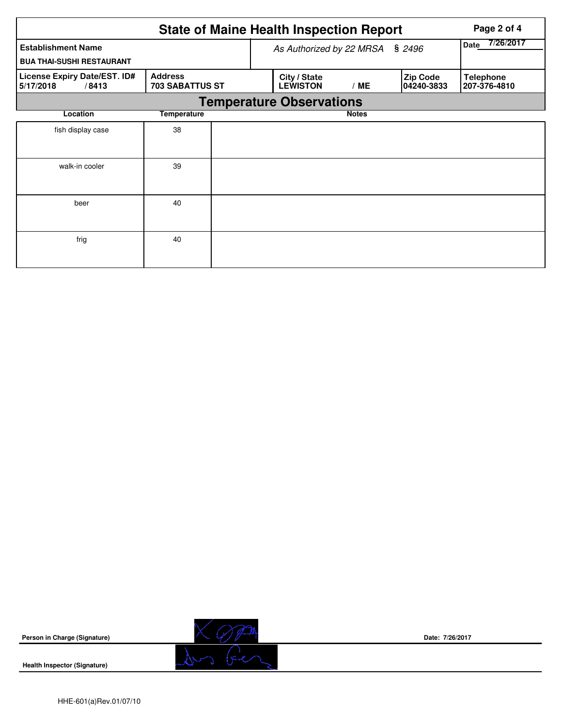|                                                               |                                          |  | <b>State of Maine Health Inspection Report</b> |                   |                        | Page 2 of 4                      |  |  |  |  |  |
|---------------------------------------------------------------|------------------------------------------|--|------------------------------------------------|-------------------|------------------------|----------------------------------|--|--|--|--|--|
| <b>Establishment Name</b><br><b>BUA THAI-SUSHI RESTAURANT</b> |                                          |  | As Authorized by 22 MRSA                       | 7/26/2017<br>Date |                        |                                  |  |  |  |  |  |
| License Expiry Date/EST. ID#<br>5/17/2018<br>/8413            | <b>Address</b><br><b>703 SABATTUS ST</b> |  | City / State<br><b>LEWISTON</b>                | /ME               | Zip Code<br>04240-3833 | <b>Telephone</b><br>207-376-4810 |  |  |  |  |  |
|                                                               | <b>Temperature Observations</b>          |  |                                                |                   |                        |                                  |  |  |  |  |  |
| Location                                                      | <b>Temperature</b>                       |  |                                                | <b>Notes</b>      |                        |                                  |  |  |  |  |  |
| fish display case                                             | 38                                       |  |                                                |                   |                        |                                  |  |  |  |  |  |
| walk-in cooler                                                | 39                                       |  |                                                |                   |                        |                                  |  |  |  |  |  |
| beer                                                          | 40                                       |  |                                                |                   |                        |                                  |  |  |  |  |  |
| frig                                                          | 40                                       |  |                                                |                   |                        |                                  |  |  |  |  |  |



**Health Inspector (Signature)** 



**Date: 7/26/2017**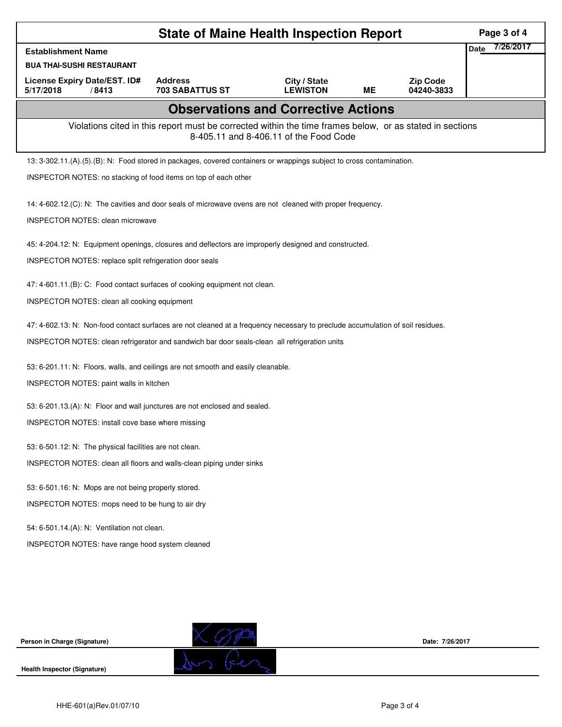| <b>State of Maine Health Inspection Report</b><br>Page 3 of 4                                                                                      |                                                                                                                                |                                 |           |                               |                          |  |  |  |  |
|----------------------------------------------------------------------------------------------------------------------------------------------------|--------------------------------------------------------------------------------------------------------------------------------|---------------------------------|-----------|-------------------------------|--------------------------|--|--|--|--|
| <b>Establishment Name</b>                                                                                                                          |                                                                                                                                |                                 |           |                               | 7/26/2017<br><b>Date</b> |  |  |  |  |
| <b>BUA THAI-SUSHI RESTAURANT</b>                                                                                                                   |                                                                                                                                |                                 |           |                               |                          |  |  |  |  |
| License Expiry Date/EST. ID#<br>5/17/2018<br>/8413                                                                                                 | <b>Address</b><br><b>703 SABATTUS ST</b>                                                                                       | City / State<br><b>LEWISTON</b> | <b>ME</b> | <b>Zip Code</b><br>04240-3833 |                          |  |  |  |  |
|                                                                                                                                                    | <b>Observations and Corrective Actions</b>                                                                                     |                                 |           |                               |                          |  |  |  |  |
| Violations cited in this report must be corrected within the time frames below, or as stated in sections<br>8-405.11 and 8-406.11 of the Food Code |                                                                                                                                |                                 |           |                               |                          |  |  |  |  |
| 13: 3-302.11.(A).(5).(B): N: Food stored in packages, covered containers or wrappings subject to cross contamination.                              |                                                                                                                                |                                 |           |                               |                          |  |  |  |  |
| INSPECTOR NOTES: no stacking of food items on top of each other                                                                                    |                                                                                                                                |                                 |           |                               |                          |  |  |  |  |
| 14: 4-602.12. (C): N: The cavities and door seals of microwave ovens are not cleaned with proper frequency.                                        |                                                                                                                                |                                 |           |                               |                          |  |  |  |  |
| <b>INSPECTOR NOTES: clean microwave</b>                                                                                                            |                                                                                                                                |                                 |           |                               |                          |  |  |  |  |
| 45: 4-204.12: N: Equipment openings, closures and deflectors are improperly designed and constructed.                                              |                                                                                                                                |                                 |           |                               |                          |  |  |  |  |
| INSPECTOR NOTES: replace split refrigeration door seals                                                                                            |                                                                                                                                |                                 |           |                               |                          |  |  |  |  |
| 47: 4-601.11.(B): C: Food contact surfaces of cooking equipment not clean.                                                                         |                                                                                                                                |                                 |           |                               |                          |  |  |  |  |
| INSPECTOR NOTES: clean all cooking equipment                                                                                                       |                                                                                                                                |                                 |           |                               |                          |  |  |  |  |
|                                                                                                                                                    | 47: 4-602.13: N: Non-food contact surfaces are not cleaned at a frequency necessary to preclude accumulation of soil residues. |                                 |           |                               |                          |  |  |  |  |
| INSPECTOR NOTES: clean refrigerator and sandwich bar door seals-clean all refrigeration units                                                      |                                                                                                                                |                                 |           |                               |                          |  |  |  |  |
| 53: 6-201.11: N: Floors, walls, and ceilings are not smooth and easily cleanable.                                                                  |                                                                                                                                |                                 |           |                               |                          |  |  |  |  |
| INSPECTOR NOTES: paint walls in kitchen                                                                                                            |                                                                                                                                |                                 |           |                               |                          |  |  |  |  |
| 53: 6-201.13.(A): N: Floor and wall junctures are not enclosed and sealed.                                                                         |                                                                                                                                |                                 |           |                               |                          |  |  |  |  |
| INSPECTOR NOTES: install cove base where missing                                                                                                   |                                                                                                                                |                                 |           |                               |                          |  |  |  |  |
| 53: 6-501.12: N: The physical facilities are not clean.                                                                                            |                                                                                                                                |                                 |           |                               |                          |  |  |  |  |
| INSPECTOR NOTES: clean all floors and walls-clean piping under sinks                                                                               |                                                                                                                                |                                 |           |                               |                          |  |  |  |  |
| 53: 6-501.16: N: Mops are not being properly stored.                                                                                               |                                                                                                                                |                                 |           |                               |                          |  |  |  |  |
| INSPECTOR NOTES: mops need to be hung to air dry                                                                                                   |                                                                                                                                |                                 |           |                               |                          |  |  |  |  |
| 54: 6-501.14.(A): N: Ventilation not clean.                                                                                                        |                                                                                                                                |                                 |           |                               |                          |  |  |  |  |
| INSPECTOR NOTES: have range hood system cleaned                                                                                                    |                                                                                                                                |                                 |           |                               |                          |  |  |  |  |
|                                                                                                                                                    |                                                                                                                                |                                 |           |                               |                          |  |  |  |  |
|                                                                                                                                                    |                                                                                                                                |                                 |           |                               |                          |  |  |  |  |
|                                                                                                                                                    |                                                                                                                                |                                 |           |                               |                          |  |  |  |  |
| Person in Charge (Signature)                                                                                                                       |                                                                                                                                |                                 |           | Date: 7/26/2017               |                          |  |  |  |  |
| Health Inspector (Signature)                                                                                                                       |                                                                                                                                |                                 |           |                               |                          |  |  |  |  |